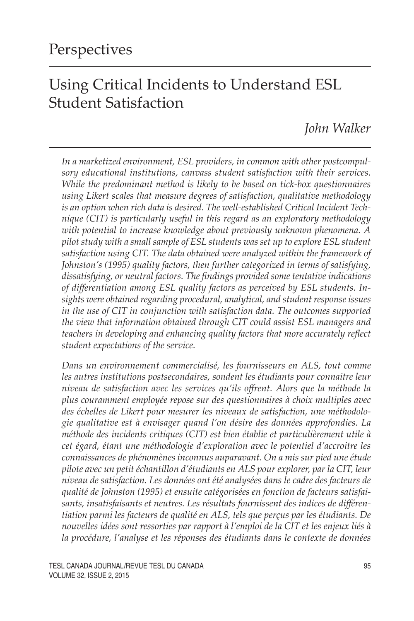# Using Critical Incidents to Understand ESL Student Satisfaction

*John Walker*

*In a marketized environment, ESL providers, in common with other postcompulsory educational institutions, canvass student satisfaction with their services. While the predominant method is likely to be based on tick-box questionnaires using Likert scales that measure degrees of satisfaction, qualitative methodology is an option when rich data is desired. The well-established Critical Incident Technique (CIT) is particularly useful in this regard as an exploratory methodology with potential to increase knowledge about previously unknown phenomena. A pilot study with a small sample of ESL students was set up to explore ESL student satisfaction using CIT. The data obtained were analyzed within the framework of Johnston's (1995) quality factors, then further categorized in terms of satisfying, dissatisfying, or neutral factors. The findings provided some tentative indications of differentiation among ESL quality factors as perceived by ESL students. Insights were obtained regarding procedural, analytical, and student response issues in the use of CIT in conjunction with satisfaction data. The outcomes supported the view that information obtained through CIT could assist ESL managers and teachers in developing and enhancing quality factors that more accurately reflect student expectations of the service.*

*Dans un environnement commercialisé, les fournisseurs en ALS, tout comme*  les autres institutions postsecondaires, sondent les étudiants pour connaitre leur *niveau de satisfaction avec les services qu'ils offrent. Alors que la méthode la plus couramment employée repose sur des questionnaires à choix multiples avec des échelles de Likert pour mesurer les niveaux de satisfaction, une méthodologie qualitative est à envisager quand l'on désire des données approfondies. La méthode des incidents critiques (CIT) est bien établie et particulièrement utile à cet égard, étant une méthodologie d'exploration avec le potentiel d'accroitre les connaissances de phénomènes inconnus auparavant. On a mis sur pied une étude pilote avec un petit échantillon d'étudiants en ALS pour explorer, par la CIT, leur niveau de satisfaction. Les données ont été analysées dans le cadre des facteurs de qualité de Johnston (1995) et ensuite catégorisées en fonction de facteurs satisfaisants, insatisfaisants et neutres. Les résultats fournissent des indices de différentiation parmi les facteurs de qualité en ALS, tels que perçus par les étudiants. De nouvelles idées sont ressorties par rapport à l'emploi de la CIT et les enjeux liés à la procédure, l'analyse et les réponses des étudiants dans le contexte de données* 

TESL CANADA JOURNAL/REVUE TESL DU CANADA 95 Volume 32, issue 2, 2015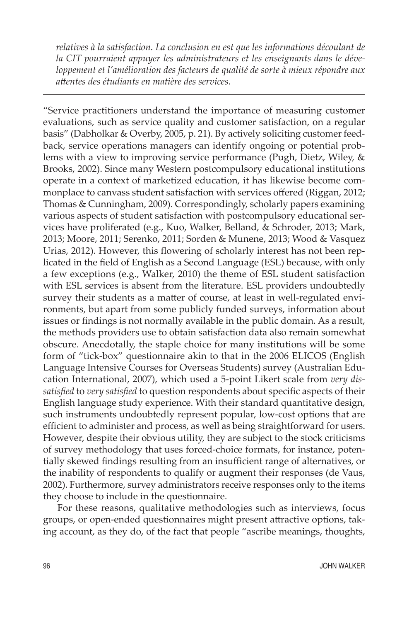*relatives à la satisfaction. La conclusion en est que les informations découlant de la CIT pourraient appuyer les administrateurs et les enseignants dans le développement et l'amélioration des facteurs de qualité de sorte à mieux répondre aux attentes des étudiants en matière des services.* 

"Service practitioners understand the importance of measuring customer evaluations, such as service quality and customer satisfaction, on a regular basis" (Dabholkar & Overby, 2005, p. 21). By actively soliciting customer feedback, service operations managers can identify ongoing or potential problems with a view to improving service performance (Pugh, Dietz, Wiley, & Brooks, 2002). Since many Western postcompulsory educational institutions operate in a context of marketized education, it has likewise become commonplace to canvass student satisfaction with services offered (Riggan, 2012; Thomas & Cunningham, 2009). Correspondingly, scholarly papers examining various aspects of student satisfaction with postcompulsory educational services have proliferated (e.g., Kuo, Walker, Belland, & Schroder, 2013; Mark, 2013; Moore, 2011; Serenko, 2011; Sorden & Munene, 2013; Wood & Vasquez Urias, 2012). However, this flowering of scholarly interest has not been replicated in the field of English as a Second Language (ESL) because, with only a few exceptions (e.g., Walker, 2010) the theme of ESL student satisfaction with ESL services is absent from the literature. ESL providers undoubtedly survey their students as a matter of course, at least in well-regulated environments, but apart from some publicly funded surveys, information about issues or findings is not normally available in the public domain. As a result, the methods providers use to obtain satisfaction data also remain somewhat obscure. Anecdotally, the staple choice for many institutions will be some form of "tick-box" questionnaire akin to that in the 2006 ELICOS (English Language Intensive Courses for Overseas Students) survey (Australian Education International, 2007), which used a 5-point Likert scale from *very dissatisfied* to *very satisfied* to question respondents about specific aspects of their English language study experience. With their standard quantitative design, such instruments undoubtedly represent popular, low-cost options that are efficient to administer and process, as well as being straightforward for users. However, despite their obvious utility, they are subject to the stock criticisms of survey methodology that uses forced-choice formats, for instance, potentially skewed findings resulting from an insufficient range of alternatives, or the inability of respondents to qualify or augment their responses (de Vaus, 2002). Furthermore, survey administrators receive responses only to the items they choose to include in the questionnaire.

For these reasons, qualitative methodologies such as interviews, focus groups, or open-ended questionnaires might present attractive options, taking account, as they do, of the fact that people "ascribe meanings, thoughts,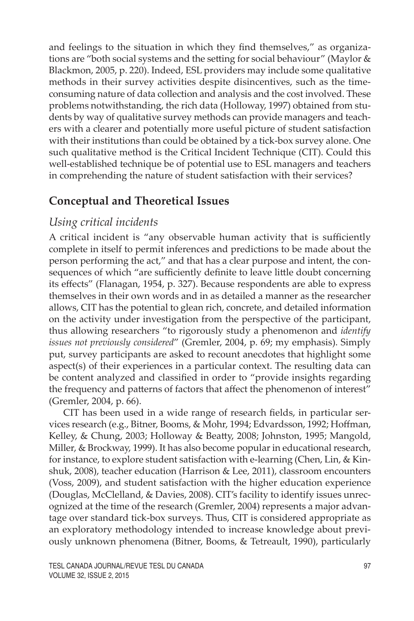and feelings to the situation in which they find themselves," as organizations are "both social systems and the setting for social behaviour" (Maylor & Blackmon, 2005, p. 220). Indeed, ESL providers may include some qualitative methods in their survey activities despite disincentives, such as the timeconsuming nature of data collection and analysis and the cost involved. These problems notwithstanding, the rich data (Holloway, 1997) obtained from students by way of qualitative survey methods can provide managers and teachers with a clearer and potentially more useful picture of student satisfaction with their institutions than could be obtained by a tick-box survey alone. One such qualitative method is the Critical Incident Technique (CIT). Could this well-established technique be of potential use to ESL managers and teachers in comprehending the nature of student satisfaction with their services?

### **Conceptual and Theoretical Issues**

# *Using critical incidents*

A critical incident is "any observable human activity that is sufficiently complete in itself to permit inferences and predictions to be made about the person performing the act," and that has a clear purpose and intent, the consequences of which "are sufficiently definite to leave little doubt concerning its effects" (Flanagan, 1954, p. 327). Because respondents are able to express themselves in their own words and in as detailed a manner as the researcher allows, CIT has the potential to glean rich, concrete, and detailed information on the activity under investigation from the perspective of the participant, thus allowing researchers "to rigorously study a phenomenon and *identify issues not previously considered*" (Gremler, 2004, p. 69; my emphasis). Simply put, survey participants are asked to recount anecdotes that highlight some aspect(s) of their experiences in a particular context. The resulting data can be content analyzed and classified in order to "provide insights regarding the frequency and patterns of factors that affect the phenomenon of interest" (Gremler, 2004, p. 66).

CIT has been used in a wide range of research fields, in particular services research (e.g., Bitner, Booms, & Mohr, 1994; Edvardsson, 1992; Hoffman, Kelley, & Chung, 2003; Holloway & Beatty, 2008; Johnston, 1995; Mangold, Miller, & Brockway, 1999). It has also become popular in educational research, for instance, to explore student satisfaction with e-learning (Chen, Lin, & Kinshuk, 2008), teacher education (Harrison & Lee, 2011), classroom encounters (Voss, 2009), and student satisfaction with the higher education experience (Douglas, McClelland, & Davies, 2008). CIT's facility to identify issues unrecognized at the time of the research (Gremler, 2004) represents a major advantage over standard tick-box surveys. Thus, CIT is considered appropriate as an exploratory methodology intended to increase knowledge about previously unknown phenomena (Bitner, Booms, & Tetreault, 1990), particularly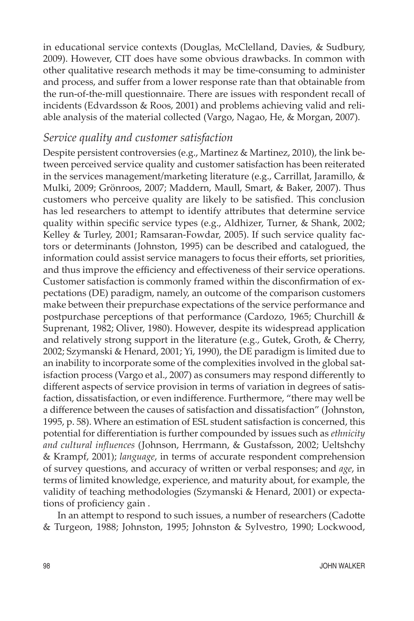in educational service contexts (Douglas, McClelland, Davies, & Sudbury, 2009). However, CIT does have some obvious drawbacks. In common with other qualitative research methods it may be time-consuming to administer and process, and suffer from a lower response rate than that obtainable from the run-of-the-mill questionnaire. There are issues with respondent recall of incidents (Edvardsson & Roos, 2001) and problems achieving valid and reliable analysis of the material collected (Vargo, Nagao, He, & Morgan, 2007).

#### *Service quality and customer satisfaction*

Despite persistent controversies (e.g., Martinez & Martinez, 2010), the link between perceived service quality and customer satisfaction has been reiterated in the services management/marketing literature (e.g., Carrillat, Jaramillo, & Mulki, 2009; Grönroos, 2007; Maddern, Maull, Smart, & Baker, 2007). Thus customers who perceive quality are likely to be satisfied. This conclusion has led researchers to attempt to identify attributes that determine service quality within specific service types (e.g., Aldhizer, Turner, & Shank, 2002; Kelley & Turley, 2001; Ramsaran-Fowdar, 2005). If such service quality factors or determinants (Johnston, 1995) can be described and catalogued, the information could assist service managers to focus their efforts, set priorities, and thus improve the efficiency and effectiveness of their service operations. Customer satisfaction is commonly framed within the disconfirmation of expectations (DE) paradigm, namely, an outcome of the comparison customers make between their prepurchase expectations of the service performance and postpurchase perceptions of that performance (Cardozo, 1965; Churchill & Suprenant, 1982; Oliver, 1980). However, despite its widespread application and relatively strong support in the literature (e.g., Gutek, Groth, & Cherry, 2002; Szymanski & Henard, 2001; Yi, 1990), the DE paradigm is limited due to an inability to incorporate some of the complexities involved in the global satisfaction process (Vargo et al., 2007) as consumers may respond differently to different aspects of service provision in terms of variation in degrees of satisfaction, dissatisfaction, or even indifference. Furthermore, "there may well be a difference between the causes of satisfaction and dissatisfaction" (Johnston, 1995, p. 58). Where an estimation of ESL student satisfaction is concerned, this potential for differentiation is further compounded by issues such as *ethnicity and cultural influences* (Johnson, Herrmann, & Gustafsson, 2002; Ueltshchy & Krampf, 2001); *language*, in terms of accurate respondent comprehension of survey questions, and accuracy of written or verbal responses; and *age*, in terms of limited knowledge, experience, and maturity about, for example, the validity of teaching methodologies (Szymanski & Henard, 2001) or expectations of proficiency gain .

In an attempt to respond to such issues, a number of researchers (Cadotte & Turgeon, 1988; Johnston, 1995; Johnston & Sylvestro, 1990; Lockwood,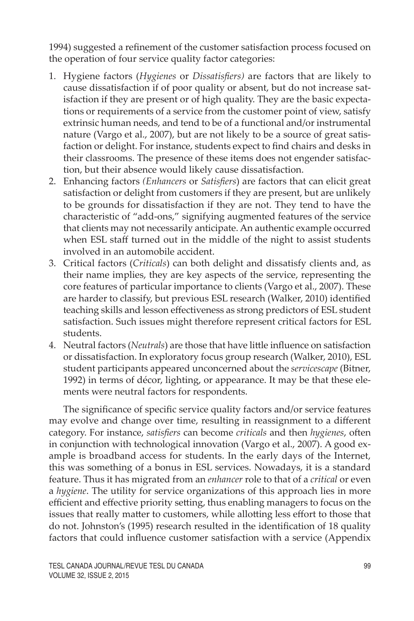1994) suggested a refinement of the customer satisfaction process focused on the operation of four service quality factor categories:

- 1. Hygiene factors (*Hygienes* or *Dissatisfiers)* are factors that are likely to cause dissatisfaction if of poor quality or absent, but do not increase satisfaction if they are present or of high quality. They are the basic expectations or requirements of a service from the customer point of view, satisfy extrinsic human needs, and tend to be of a functional and/or instrumental nature (Vargo et al., 2007), but are not likely to be a source of great satisfaction or delight. For instance, students expect to find chairs and desks in their classrooms. The presence of these items does not engender satisfaction, but their absence would likely cause dissatisfaction.
- 2. Enhancing factors *(Enhancers* or *Satisfiers*) are factors that can elicit great satisfaction or delight from customers if they are present, but are unlikely to be grounds for dissatisfaction if they are not. They tend to have the characteristic of "add-ons," signifying augmented features of the service that clients may not necessarily anticipate. An authentic example occurred when ESL staff turned out in the middle of the night to assist students involved in an automobile accident.
- 3. Critical factors (*Criticals*) can both delight and dissatisfy clients and, as their name implies, they are key aspects of the service, representing the core features of particular importance to clients (Vargo et al., 2007). These are harder to classify, but previous ESL research (Walker, 2010) identified teaching skills and lesson effectiveness as strong predictors of ESL student satisfaction. Such issues might therefore represent critical factors for ESL students.
- 4. Neutral factors (*Neutrals*) are those that have little influence on satisfaction or dissatisfaction. In exploratory focus group research (Walker, 2010), ESL student participants appeared unconcerned about the *servicescape* (Bitner, 1992) in terms of décor, lighting, or appearance. It may be that these elements were neutral factors for respondents.

The significance of specific service quality factors and/or service features may evolve and change over time, resulting in reassignment to a different category. For instance, *satisfiers* can become *criticals* and then *hygienes*, often in conjunction with technological innovation (Vargo et al., 2007). A good example is broadband access for students. In the early days of the Internet, this was something of a bonus in ESL services. Nowadays, it is a standard feature. Thus it has migrated from an *enhancer* role to that of a *critical* or even a *hygiene*. The utility for service organizations of this approach lies in more efficient and effective priority setting, thus enabling managers to focus on the issues that really matter to customers, while allotting less effort to those that do not. Johnston's (1995) research resulted in the identification of 18 quality factors that could influence customer satisfaction with a service (Appendix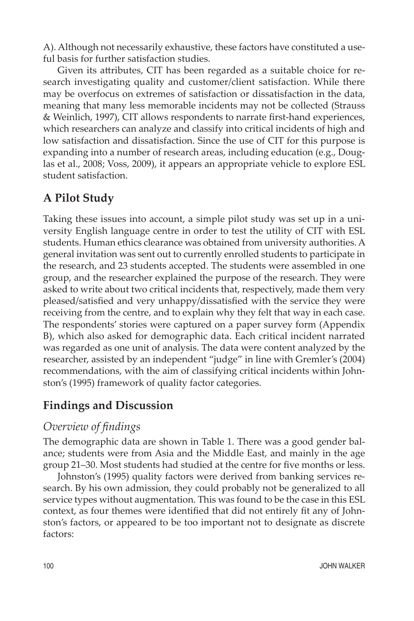A). Although not necessarily exhaustive, these factors have constituted a useful basis for further satisfaction studies.

Given its attributes, CIT has been regarded as a suitable choice for research investigating quality and customer/client satisfaction. While there may be overfocus on extremes of satisfaction or dissatisfaction in the data, meaning that many less memorable incidents may not be collected (Strauss & Weinlich, 1997), CIT allows respondents to narrate first-hand experiences, which researchers can analyze and classify into critical incidents of high and low satisfaction and dissatisfaction. Since the use of CIT for this purpose is expanding into a number of research areas, including education (e.g., Douglas et al., 2008; Voss, 2009), it appears an appropriate vehicle to explore ESL student satisfaction.

# **A Pilot Study**

Taking these issues into account, a simple pilot study was set up in a university English language centre in order to test the utility of CIT with ESL students. Human ethics clearance was obtained from university authorities. A general invitation was sent out to currently enrolled students to participate in the research, and 23 students accepted. The students were assembled in one group, and the researcher explained the purpose of the research. They were asked to write about two critical incidents that, respectively, made them very pleased/satisfied and very unhappy/dissatisfied with the service they were receiving from the centre, and to explain why they felt that way in each case. The respondents' stories were captured on a paper survey form (Appendix B), which also asked for demographic data. Each critical incident narrated was regarded as one unit of analysis. The data were content analyzed by the researcher, assisted by an independent "judge" in line with Gremler's (2004) recommendations, with the aim of classifying critical incidents within Johnston's (1995) framework of quality factor categories.

### **Findings and Discussion**

#### *Overview of findings*

The demographic data are shown in Table 1. There was a good gender balance; students were from Asia and the Middle East, and mainly in the age group 21–30. Most students had studied at the centre for five months or less.

Johnston's (1995) quality factors were derived from banking services research. By his own admission, they could probably not be generalized to all service types without augmentation. This was found to be the case in this ESL context, as four themes were identified that did not entirely fit any of Johnston's factors, or appeared to be too important not to designate as discrete factors: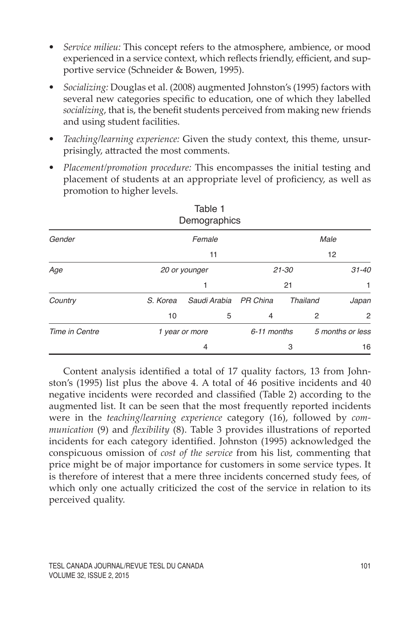- *• Service milieu:* This concept refers to the atmosphere, ambience, or mood experienced in a service context, which reflects friendly, efficient, and supportive service (Schneider & Bowen, 1995).
- *• Socializing:* Douglas et al. (2008) augmented Johnston's (1995) factors with several new categories specific to education, one of which they labelled *socializing*, that is, the benefit students perceived from making new friends and using student facilities.
- *• Teaching/learning experience:* Given the study context, this theme, unsurprisingly, attracted the most comments.
- *• Placement/promotion procedure:* This encompasses the initial testing and placement of students at an appropriate level of proficiency, as well as promotion to higher levels.

| Demographics   |               |                |                |                 |                  |
|----------------|---------------|----------------|----------------|-----------------|------------------|
| Gender         | Female        |                | Male           |                 |                  |
|                |               | 11             |                |                 | 12               |
| Age            | 20 or younger |                | $21 - 30$      |                 | $31 - 40$        |
|                |               | 1              |                | 21              |                  |
| Country        | S. Korea      | Saudi Arabia   | PR China       | <b>Thailand</b> | Japan            |
|                | 10            | 5              | $\overline{4}$ |                 | 2<br>2           |
| Time in Centre |               | 1 year or more | 6-11 months    |                 | 5 months or less |
|                |               | 4              |                | 3               | 16               |

Table 1

Content analysis identified a total of 17 quality factors, 13 from Johnston's (1995) list plus the above 4. A total of 46 positive incidents and 40 negative incidents were recorded and classified (Table 2) according to the augmented list. It can be seen that the most frequently reported incidents were in the *teaching/learning experience* category (16), followed by *communication* (9) and *flexibility* (8). Table 3 provides illustrations of reported incidents for each category identified. Johnston (1995) acknowledged the conspicuous omission of *cost of the service* from his list, commenting that price might be of major importance for customers in some service types. It is therefore of interest that a mere three incidents concerned study fees, of which only one actually criticized the cost of the service in relation to its perceived quality.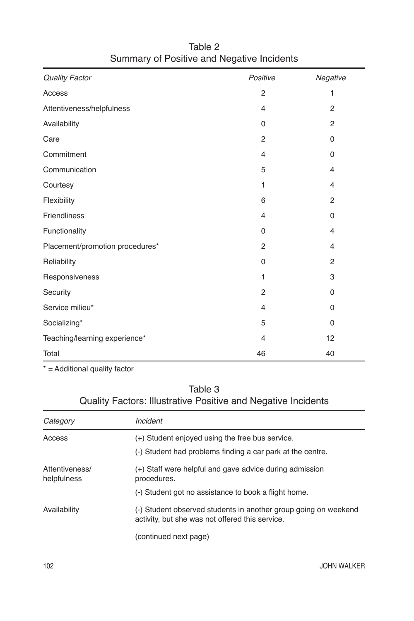| <b>Quality Factor</b>           | Positive       | Negative       |
|---------------------------------|----------------|----------------|
| Access                          | 2              | 1              |
| Attentiveness/helpfulness       | $\overline{4}$ | $\overline{2}$ |
| Availability                    | 0              | $\overline{2}$ |
| Care                            | 2              | $\mathbf 0$    |
| Commitment                      | $\overline{4}$ | 0              |
| Communication                   | 5              | $\overline{4}$ |
| Courtesy                        | 1              | $\overline{4}$ |
| Flexibility                     | 6              | 2              |
| <b>Friendliness</b>             | $\overline{4}$ | 0              |
| Functionality                   | $\Omega$       | 4              |
| Placement/promotion procedures* | 2              | 4              |
| Reliability                     | 0              | 2              |
| Responsiveness                  | 1              | 3              |
| Security                        | 2              | $\Omega$       |
| Service milieu*                 | $\overline{4}$ | $\Omega$       |
| Socializing*                    | 5              | $\mathbf 0$    |
| Teaching/learning experience*   | $\overline{4}$ | 12             |
| Total                           | 46             | 40             |

### Table 2 Summary of Positive and Negative Incidents

\* = Additional quality factor

#### Table 3 Quality Factors: Illustrative Positive and Negative Incidents

| Category                      | Incident                                                                                                           |  |  |
|-------------------------------|--------------------------------------------------------------------------------------------------------------------|--|--|
| Access                        | (+) Student enjoved using the free bus service.<br>(-) Student had problems finding a car park at the centre.      |  |  |
| Attentiveness/<br>helpfulness | (+) Staff were helpful and gave advice during admission<br>procedures.                                             |  |  |
|                               | (-) Student got no assistance to book a flight home.                                                               |  |  |
| Availability                  | (-) Student observed students in another group going on weekend<br>activity, but she was not offered this service. |  |  |
|                               | (continued next page)                                                                                              |  |  |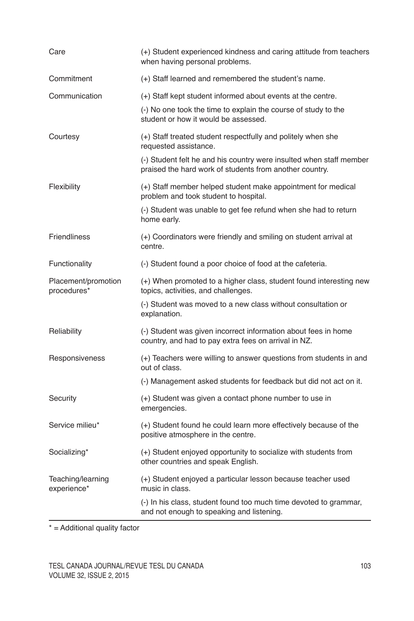| Care                               | (+) Student experienced kindness and caring attitude from teachers<br>when having personal problems.                           |  |
|------------------------------------|--------------------------------------------------------------------------------------------------------------------------------|--|
| Commitment                         | (+) Staff learned and remembered the student's name.                                                                           |  |
| Communication                      | (+) Staff kept student informed about events at the centre.                                                                    |  |
|                                    | (-) No one took the time to explain the course of study to the<br>student or how it would be assessed.                         |  |
| Courtesy                           | (+) Staff treated student respectfully and politely when she<br>requested assistance.                                          |  |
|                                    | (-) Student felt he and his country were insulted when staff member<br>praised the hard work of students from another country. |  |
| Flexibility                        | (+) Staff member helped student make appointment for medical<br>problem and took student to hospital.                          |  |
|                                    | (-) Student was unable to get fee refund when she had to return<br>home early.                                                 |  |
| <b>Friendliness</b>                | (+) Coordinators were friendly and smiling on student arrival at<br>centre.                                                    |  |
| Functionality                      | (-) Student found a poor choice of food at the cafeteria.                                                                      |  |
| Placement/promotion<br>procedures* | (+) When promoted to a higher class, student found interesting new<br>topics, activities, and challenges.                      |  |
|                                    | (-) Student was moved to a new class without consultation or<br>explanation.                                                   |  |
| Reliability                        | (-) Student was given incorrect information about fees in home<br>country, and had to pay extra fees on arrival in NZ.         |  |
| Responsiveness                     | (+) Teachers were willing to answer questions from students in and<br>out of class.                                            |  |
|                                    | (-) Management asked students for feedback but did not act on it.                                                              |  |
| Security                           | (+) Student was given a contact phone number to use in<br>emergencies.                                                         |  |
| Service milieu*                    | (+) Student found he could learn more effectively because of the<br>positive atmosphere in the centre.                         |  |
| Socializing*                       | (+) Student enjoyed opportunity to socialize with students from<br>other countries and speak English.                          |  |
| Teaching/learning<br>experience*   | (+) Student enjoyed a particular lesson because teacher used<br>music in class.                                                |  |
|                                    | (-) In his class, student found too much time devoted to grammar,<br>and not enough to speaking and listening.                 |  |

\* = Additional quality factor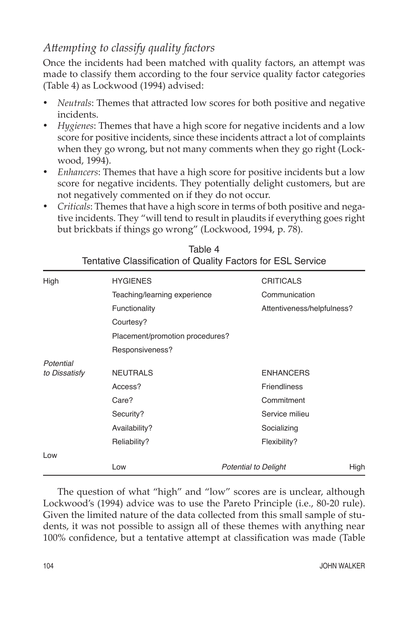### *Attempting to classify quality factors*

Once the incidents had been matched with quality factors, an attempt was made to classify them according to the four service quality factor categories (Table 4) as Lockwood (1994) advised:

- • *Neutrals*: Themes that attracted low scores for both positive and negative incidents.
- • *Hygienes*: Themes that have a high score for negative incidents and a low score for positive incidents, since these incidents attract a lot of complaints when they go wrong, but not many comments when they go right (Lockwood, 1994).
- *Enhancers*: Themes that have a high score for positive incidents but a low score for negative incidents. They potentially delight customers, but are not negatively commented on if they do not occur.
- • *Criticals*: Themes that have a high score in terms of both positive and negative incidents. They "will tend to result in plaudits if everything goes right but brickbats if things go wrong" (Lockwood, 1994, p. 78).

| High          | <b>HYGIENES</b>                 | <b>CRITICALS</b>            |      |  |  |  |
|---------------|---------------------------------|-----------------------------|------|--|--|--|
|               | Teaching/learning experience    | Communication               |      |  |  |  |
|               | Functionality                   | Attentiveness/helpfulness?  |      |  |  |  |
|               | Courtesy?                       |                             |      |  |  |  |
|               | Placement/promotion procedures? |                             |      |  |  |  |
|               | Responsiveness?                 |                             |      |  |  |  |
| Potential     |                                 |                             |      |  |  |  |
| to Dissatisfy | <b>NEUTRALS</b>                 | <b>ENHANCERS</b>            |      |  |  |  |
|               | Access?                         | <b>Friendliness</b>         |      |  |  |  |
|               | Care?                           | Commitment                  |      |  |  |  |
|               | Security?                       | Service milieu              |      |  |  |  |
|               | Availability?                   | Socializing                 |      |  |  |  |
|               | Reliability?                    | Flexibility?                |      |  |  |  |
| Low           |                                 |                             |      |  |  |  |
|               | Low                             | <b>Potential to Delight</b> | High |  |  |  |

|                                                             | Table 4 |  |  |
|-------------------------------------------------------------|---------|--|--|
| Tentative Classification of Quality Factors for ESL Service |         |  |  |

The question of what "high" and "low" scores are is unclear, although Lockwood's (1994) advice was to use the Pareto Principle (i.e., 80-20 rule). Given the limited nature of the data collected from this small sample of students, it was not possible to assign all of these themes with anything near 100% confidence, but a tentative attempt at classification was made (Table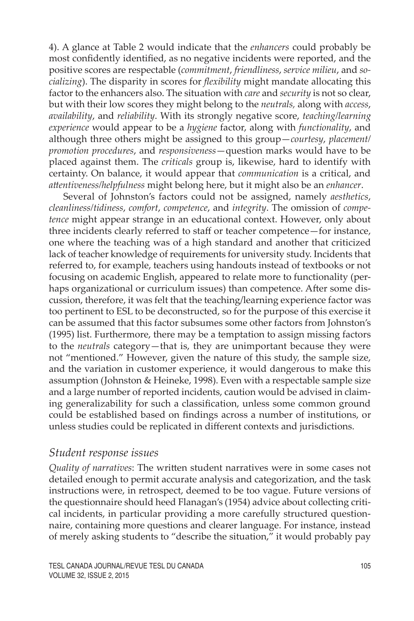4). A glance at Table 2 would indicate that the *enhancers* could probably be most confidently identified, as no negative incidents were reported, and the positive scores are respectable (*commitment*, *friendliness*, *service milieu*, and *socializing*). The disparity in scores for *flexibility* might mandate allocating this factor to the enhancers also. The situation with *care* and *security* is not so clear, but with their low scores they might belong to the *neutrals,* along with *access*, *availability*, and *reliability*. With its strongly negative score, *teaching/learning experience* would appear to be a *hygiene* factor, along with *functionality*, and although three others might be assigned to this group—*courtesy*, *placement/ promotion procedures*, and *responsiveness*—question marks would have to be placed against them. The *criticals* group is, likewise, hard to identify with certainty. On balance, it would appear that *communication* is a critical, and *attentiveness/helpfulness* might belong here, but it might also be an *enhancer*.

Several of Johnston's factors could not be assigned, namely *aesthetics*, *cleanliness/tidiness*, *comfort*, *competence*, and *integrity*. The omission of *competence* might appear strange in an educational context. However, only about three incidents clearly referred to staff or teacher competence—for instance, one where the teaching was of a high standard and another that criticized lack of teacher knowledge of requirements for university study. Incidents that referred to, for example, teachers using handouts instead of textbooks or not focusing on academic English, appeared to relate more to functionality (perhaps organizational or curriculum issues) than competence. After some discussion, therefore, it was felt that the teaching/learning experience factor was too pertinent to ESL to be deconstructed, so for the purpose of this exercise it can be assumed that this factor subsumes some other factors from Johnston's (1995) list. Furthermore, there may be a temptation to assign missing factors to the *neutrals* category—that is, they are unimportant because they were not "mentioned." However, given the nature of this study, the sample size, and the variation in customer experience, it would dangerous to make this assumption (Johnston & Heineke, 1998). Even with a respectable sample size and a large number of reported incidents, caution would be advised in claiming generalizability for such a classification, unless some common ground could be established based on findings across a number of institutions, or unless studies could be replicated in different contexts and jurisdictions.

#### *Student response issues*

*Quality of narratives*: The written student narratives were in some cases not detailed enough to permit accurate analysis and categorization, and the task instructions were, in retrospect, deemed to be too vague. Future versions of the questionnaire should heed Flanagan's (1954) advice about collecting critical incidents, in particular providing a more carefully structured questionnaire, containing more questions and clearer language. For instance, instead of merely asking students to "describe the situation," it would probably pay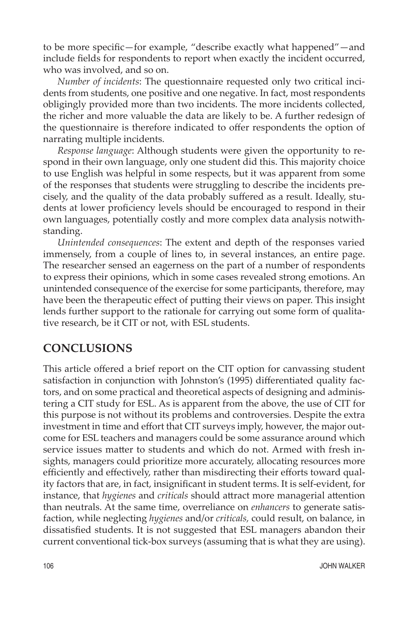to be more specific—for example, "describe exactly what happened"—and include fields for respondents to report when exactly the incident occurred, who was involved, and so on.

*Number of incidents*: The questionnaire requested only two critical incidents from students, one positive and one negative. In fact, most respondents obligingly provided more than two incidents. The more incidents collected, the richer and more valuable the data are likely to be. A further redesign of the questionnaire is therefore indicated to offer respondents the option of narrating multiple incidents.

*Response language*: Although students were given the opportunity to respond in their own language, only one student did this. This majority choice to use English was helpful in some respects, but it was apparent from some of the responses that students were struggling to describe the incidents precisely, and the quality of the data probably suffered as a result. Ideally, students at lower proficiency levels should be encouraged to respond in their own languages, potentially costly and more complex data analysis notwithstanding.

*Unintended consequences*: The extent and depth of the responses varied immensely, from a couple of lines to, in several instances, an entire page. The researcher sensed an eagerness on the part of a number of respondents to express their opinions, which in some cases revealed strong emotions. An unintended consequence of the exercise for some participants, therefore, may have been the therapeutic effect of putting their views on paper. This insight lends further support to the rationale for carrying out some form of qualitative research, be it CIT or not, with ESL students.

### **CONCLUSIONS**

This article offered a brief report on the CIT option for canvassing student satisfaction in conjunction with Johnston's (1995) differentiated quality factors, and on some practical and theoretical aspects of designing and administering a CIT study for ESL. As is apparent from the above, the use of CIT for this purpose is not without its problems and controversies. Despite the extra investment in time and effort that CIT surveys imply, however, the major outcome for ESL teachers and managers could be some assurance around which service issues matter to students and which do not. Armed with fresh insights, managers could prioritize more accurately, allocating resources more efficiently and effectively, rather than misdirecting their efforts toward quality factors that are, in fact, insignificant in student terms. It is self-evident, for instance, that *hygienes* and *criticals* should attract more managerial attention than neutrals. At the same time, overreliance on *enhancers* to generate satisfaction, while neglecting *hygienes* and/or *criticals,* could result, on balance, in dissatisfied students. It is not suggested that ESL managers abandon their current conventional tick-box surveys (assuming that is what they are using).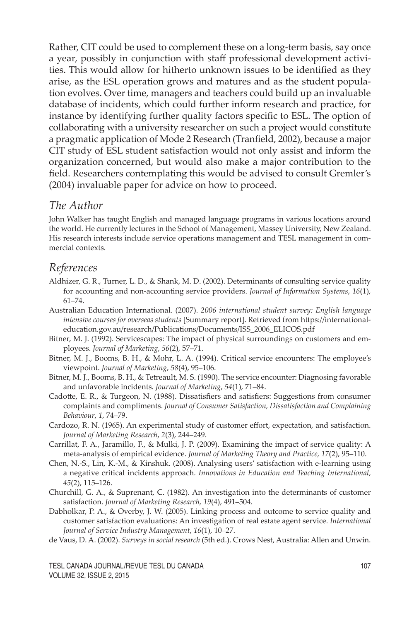Rather, CIT could be used to complement these on a long-term basis, say once a year, possibly in conjunction with staff professional development activities. This would allow for hitherto unknown issues to be identified as they arise, as the ESL operation grows and matures and as the student population evolves. Over time, managers and teachers could build up an invaluable database of incidents, which could further inform research and practice, for instance by identifying further quality factors specific to ESL. The option of collaborating with a university researcher on such a project would constitute a pragmatic application of Mode 2 Research (Tranfield, 2002), because a major CIT study of ESL student satisfaction would not only assist and inform the organization concerned, but would also make a major contribution to the field. Researchers contemplating this would be advised to consult Gremler's (2004) invaluable paper for advice on how to proceed.

#### *The Author*

John Walker has taught English and managed language programs in various locations around the world. He currently lectures in the School of Management, Massey University, New Zealand. His research interests include service operations management and TESL management in commercial contexts.

#### *References*

- Aldhizer, G. R., Turner, L. D., & Shank, M. D. (2002). Determinants of consulting service quality for accounting and non-accounting service providers. *Journal of Information Systems*, *16*(1), 61–74.
- Australian Education International. (2007). *2006 international student survey: English language intensive courses for overseas students* [Summary report]. Retrieved from https://internationaleducation.gov.au/research/Publications/Documents/ISS\_2006\_ELICOS.pdf
- Bitner, M. J. (1992). Servicescapes: The impact of physical surroundings on customers and employees. *Journal of Marketing*, *56*(2), 57–71.
- Bitner, M. J., Booms, B. H., & Mohr, L. A. (1994). Critical service encounters: The employee's viewpoint. *Journal of Marketing*, *58*(4), 95–106.
- Bitner, M. J., Booms, B. H., & Tetreault, M. S. (1990). The service encounter: Diagnosing favorable and unfavorable incidents. *Journal of Marketing*, *54*(1), 71–84.
- Cadotte, E. R., & Turgeon, N. (1988). Dissatisfiers and satisfiers: Suggestions from consumer complaints and compliments. *Journal of Consumer Satisfaction, Dissatisfaction and Complaining Behaviour*, *1*, 74–79.
- Cardozo, R. N. (1965). An experimental study of customer effort, expectation, and satisfaction. *Journal of Marketing Research*, *2*(3), 244–249.
- Carrillat, F. A., Jaramillo, F., & Mulki, J. P. (2009). Examining the impact of service quality: A meta-analysis of empirical evidence. *Journal of Marketing Theory and Practice, 17*(2), 95–110.
- Chen, N.-S., Lin, K.-M., & Kinshuk. (2008). Analysing users' satisfaction with e-learning using a negative critical incidents approach. *Innovations in Education and Teaching International, 45*(2), 115–126.
- Churchill, G. A., & Suprenant, C. (1982). An investigation into the determinants of customer satisfaction. *Journal of Marketing Research, 19*(4), 491–504.
- Dabholkar, P. A., & Overby, J. W. (2005). Linking process and outcome to service quality and customer satisfaction evaluations: An investigation of real estate agent service. *International Journal of Service Industry Management*, *16*(1), 10–27.
- de Vaus, D. A. (2002). *Surveys in social research* (5th ed.). Crows Nest, Australia: Allen and Unwin.

TESL CANADA JOURNAL/REVUE TESL DU CANADA 107 Volume 32, issue 2, 2015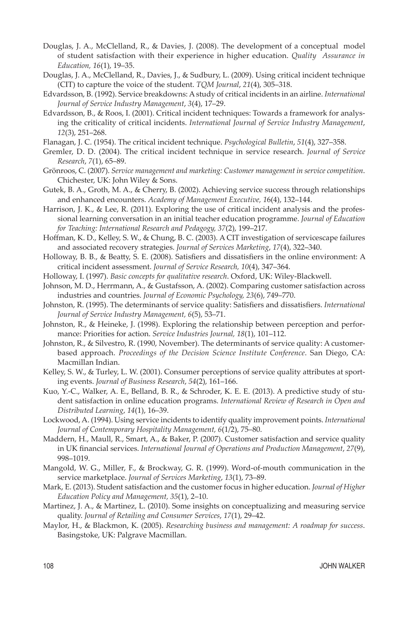- Douglas, J. A., McClelland, R., & Davies, J. (2008). The development of a conceptual model of student satisfaction with their experience in higher education. *Quality Assurance in Education, 16*(1), 19–35.
- Douglas, J. A., McClelland, R., Davies, J., & Sudbury, L. (2009). Using critical incident technique (CIT) to capture the voice of the student. *TQM Journal*, *21*(4), 305–318.
- Edvardsson, B. (1992). Service breakdowns: A study of critical incidents in an airline. *International Journal of Service Industry Management*, *3*(4), 17–29.
- Edvardsson, B., & Roos, I. (2001). Critical incident techniques: Towards a framework for analysing the criticality of critical incidents. *International Journal of Service Industry Management*, *12*(3), 251–268.
- Flanagan, J. C. (1954). The critical incident technique. *Psychological Bulletin*, *51*(4), 327–358.
- Gremler, D. D. (2004). The critical incident technique in service research. *Journal of Service Research*, *7*(1), 65–89.
- Grönroos, C. (2007). *Service management and marketing: Customer management in service competition*. Chichester, UK: John Wiley & Sons.
- Gutek, B. A., Groth, M. A., & Cherry, B. (2002). Achieving service success through relationships and enhanced encounters. *Academy of Management Executive, 1*6(4), 132–144.
- Harrison, J. K., & Lee, R. (2011). Exploring the use of critical incident analysis and the professional learning conversation in an initial teacher education programme. *Journal of Education for Teaching: International Research and Pedagogy, 37*(2), 199–217.
- Hoffman, K. D., Kelley, S. W., & Chung, B. C. (2003). A CIT investigation of servicescape failures and associated recovery strategies. *Journal of Services Marketing*, *17*(4), 322–340.
- Holloway, B. B., & Beatty, S. E. (2008). Satisfiers and dissatisfiers in the online environment: A critical incident assessment. *Journal of Service Research, 10*(4), 347–364.
- Holloway, I. (1997). *Basic concepts for qualitative research*. Oxford, UK: Wiley-Blackwell.
- Johnson, M. D., Herrmann, A., & Gustafsson, A. (2002). Comparing customer satisfaction across industries and countries. *Journal of Economic Psychology, 23*(6), 749–770.
- Johnston, R. (1995). The determinants of service quality: Satisfiers and dissatisfiers. *International Journal of Service Industry Management, 6*(5), 53–71.
- Johnston, R., & Heineke, J. (1998). Exploring the relationship between perception and performance: Priorities for action. *Service Industries Journal, 18*(1), 101–112.
- Johnston, R., & Silvestro, R. (1990, November). The determinants of service quality: A customerbased approach. *Proceedings of the Decision Science Institute Conference*. San Diego, CA: Macmillan Indian.
- Kelley, S. W., & Turley, L. W. (2001). Consumer perceptions of service quality attributes at sporting events. *Journal of Business Research*, *54*(2), 161–166.
- Kuo, Y.-C., Walker, A. E., Belland, B. R., & Schroder, K. E. E. (2013). A predictive study of student satisfaction in online education programs. *International Review of Research in Open and Distributed Learning*, *14*(1), 16–39.
- Lockwood, A. (1994). Using service incidents to identify quality improvement points. *International Journal of Contemporary Hospitality Management, 6*(1/2), 75–80.
- Maddern, H., Maull, R., Smart, A., & Baker, P. (2007). Customer satisfaction and service quality in UK financial services. *International Journal of Operations and Production Management*, *27*(9), 998–1019.
- Mangold, W. G., Miller, F., & Brockway, G. R. (1999). Word-of-mouth communication in the service marketplace. *Journal of Services Marketing*, *13*(1), 73–89.
- Mark, E. (2013). Student satisfaction and the customer focus in higher education. *Journal of Higher Education Policy and Management, 35*(1), 2–10.
- Martinez, J. A., & Martinez, L. (2010). Some insights on conceptualizing and measuring service quality. *Journal of Retailing and Consumer Services*, *17*(1), 29–42.
- Maylor, H., & Blackmon, K. (2005). *Researching business and management: A roadmap for success*. Basingstoke, UK: Palgrave Macmillan.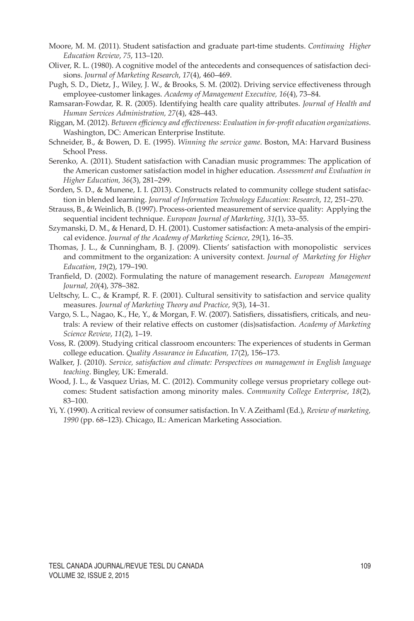- Moore, M. M. (2011). Student satisfaction and graduate part-time students. *Continuing Higher Education Review*, *75*, 113–120.
- Oliver, R. L. (1980). A cognitive model of the antecedents and consequences of satisfaction decisions. *Journal of Marketing Research*, *17*(4), 460–469.
- Pugh, S. D., Dietz, J., Wiley, J. W., & Brooks, S. M. (2002). Driving service effectiveness through employee-customer linkages. *Academy of Management Executive, 16*(4), 73–84.
- Ramsaran-Fowdar, R. R. (2005). Identifying health care quality attributes. *Journal of Health and Human Services Administration, 27*(4), 428–443.
- Riggan, M. (2012). *Between efficiency and effectiveness: Evaluation in for-profit education organizations*. Washington, DC: American Enterprise Institute*.*
- Schneider, B., & Bowen, D. E. (1995). *Winning the service game*. Boston, MA: Harvard Business School Press.
- Serenko, A. (2011). Student satisfaction with Canadian music programmes: The application of the American customer satisfaction model in higher education. *Assessment and Evaluation in Higher Education, 36*(3), 281–299.
- Sorden, S. D., & Munene, I. I. (2013). Constructs related to community college student satisfaction in blended learning. *Journal of Information Technology Education: Research*, *12*, 251–270.
- Strauss, B., & Weinlich, B. (1997). Process-oriented measurement of service quality: Applying the sequential incident technique. *European Journal of Marketing*, *31*(1), 33–55.
- Szymanski, D. M., & Henard, D. H. (2001). Customer satisfaction: A meta-analysis of the empirical evidence. *Journal of the Academy of Marketing Science*, *29*(1), 16–35.
- Thomas, J. L., & Cunningham, B. J. (2009). Clients' satisfaction with monopolistic services and commitment to the organization: A university context. *Journal of Marketing for Higher Education*, *19*(2), 179–190.
- Tranfield, D. (2002). Formulating the nature of management research. *European Management Journal, 20*(4), 378–382.
- Ueltschy, L. C., & Krampf, R. F. (2001). Cultural sensitivity to satisfaction and service quality measures. *Journal of Marketing Theory and Practice*, *9*(3), 14–31.
- Vargo, S. L., Nagao, K., He, Y., & Morgan, F. W. (2007). Satisfiers, dissatisfiers, criticals, and neutrals: A review of their relative effects on customer (dis)satisfaction. *Academy of Marketing Science Review*, *11*(2), 1–19.
- Voss, R. (2009). Studying critical classroom encounters: The experiences of students in German college education. *Quality Assurance in Education, 17*(2), 156–173.
- Walker, J. (2010). *Service, satisfaction and climate: Perspectives on management in English language teaching*. Bingley, UK: Emerald.
- Wood, J. L., & Vasquez Urias, M. C. (2012). Community college versus proprietary college outcomes: Student satisfaction among minority males. *Community College Enterprise*, *18*(2), 83–100.
- Yi, Y. (1990). A critical review of consumer satisfaction. In V. A Zeithaml (Ed.), *Review of marketing, 1990* (pp. 68–123)*.* Chicago, IL: American Marketing Association.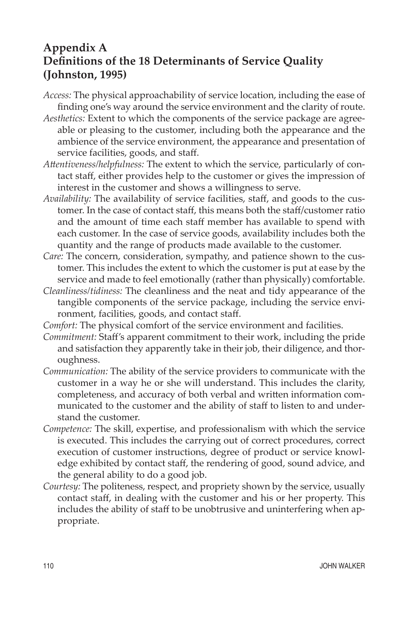### **Appendix A Definitions of the 18 Determinants of Service Quality (Johnston, 1995)**

- *Access:* The physical approachability of service location, including the ease of finding one's way around the service environment and the clarity of route.
- *Aesthetics:* Extent to which the components of the service package are agreeable or pleasing to the customer, including both the appearance and the ambience of the service environment, the appearance and presentation of service facilities, goods, and staff.
- *Attentiveness/helpfulness:* The extent to which the service, particularly of contact staff, either provides help to the customer or gives the impression of interest in the customer and shows a willingness to serve.
- *Availability:* The availability of service facilities, staff, and goods to the customer. In the case of contact staff, this means both the staff/customer ratio and the amount of time each staff member has available to spend with each customer. In the case of service goods, availability includes both the quantity and the range of products made available to the customer.
- *Care:* The concern, consideration, sympathy, and patience shown to the customer. This includes the extent to which the customer is put at ease by the service and made to feel emotionally (rather than physically) comfortable.
- *Cleanliness/tidiness:* The cleanliness and the neat and tidy appearance of the tangible components of the service package, including the service environment, facilities, goods, and contact staff.
- *Comfort:* The physical comfort of the service environment and facilities.
- *Commitment:* Staff's apparent commitment to their work, including the pride and satisfaction they apparently take in their job, their diligence, and thoroughness.
- *Communication:* The ability of the service providers to communicate with the customer in a way he or she will understand. This includes the clarity, completeness, and accuracy of both verbal and written information communicated to the customer and the ability of staff to listen to and understand the customer.
- *Competence:* The skill, expertise, and professionalism with which the service is executed. This includes the carrying out of correct procedures, correct execution of customer instructions, degree of product or service knowledge exhibited by contact staff, the rendering of good, sound advice, and the general ability to do a good job.
- *Courtesy:* The politeness, respect, and propriety shown by the service, usually contact staff, in dealing with the customer and his or her property. This includes the ability of staff to be unobtrusive and uninterfering when appropriate.